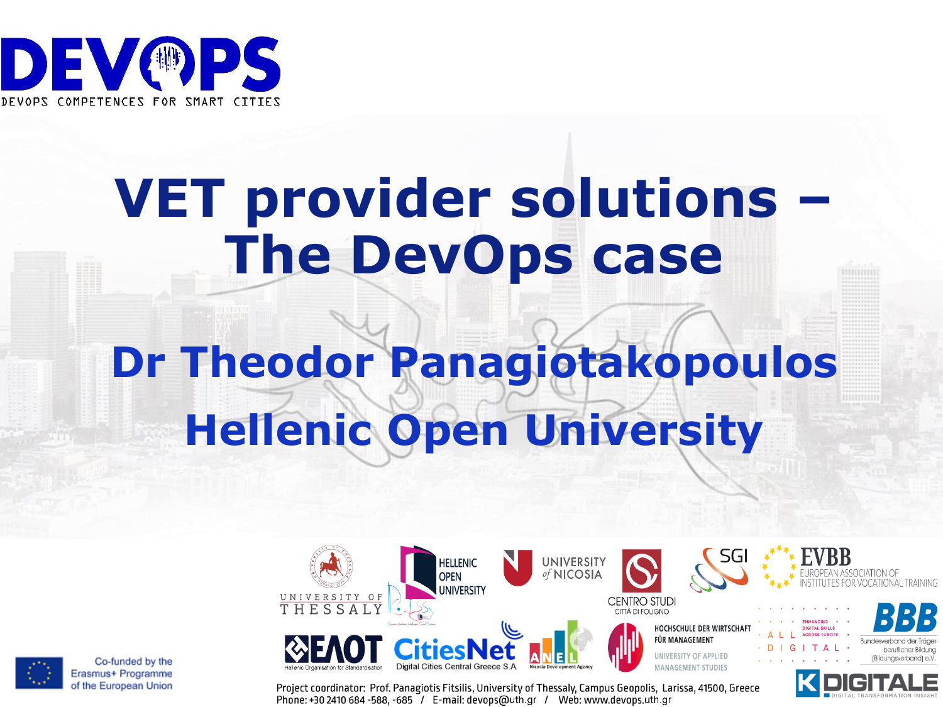

## **VET provider solutions – The DevOps case**

# **Dr Theodor Panagiotakopoulos Hellenic Open University**





Co-funded by the Erasmus+ Programme of the European Union

Project coordinator: Prof. Panagiotis Fitsilis, University of Thessaly, Campus Geopolis, Larissa, 41500, Greece Phone: +30 2410 684 -588, -685 / E-mail: devops@uth.gr / Web: www.devops.uth.gr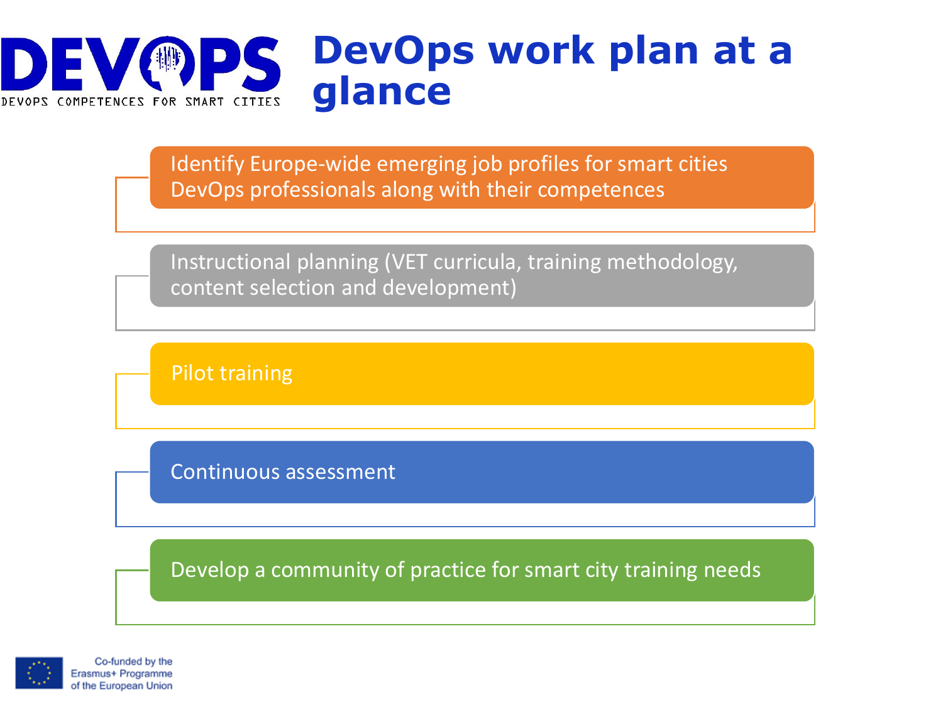

Identify Europe-wide emerging job profiles for smart cities DevOps professionals along with their competences

Instructional planning (VET curricula, training methodology, content selection and development)

Pilot training

Continuous assessment

Develop a community of practice for smart city training needs

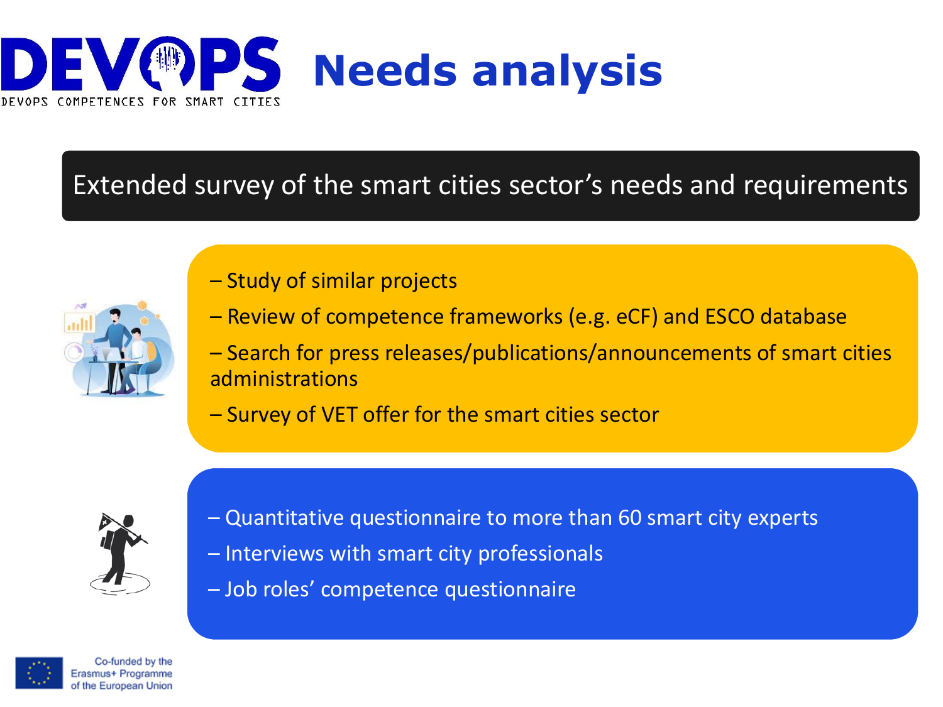

#### Extended survey of the smart cities sector's needs and requirements



- Study of similar projects
- Review of competence frameworks (e.g. eCF) and ESCO database
- Search for press releases/publications/announcements of smart cities administrations
- Survey of VET offer for the smart cities sector



- Quantitative questionnaire to more than 60 smart city experts
- Interviews with smart city professionals
- Job roles' competence questionnaire

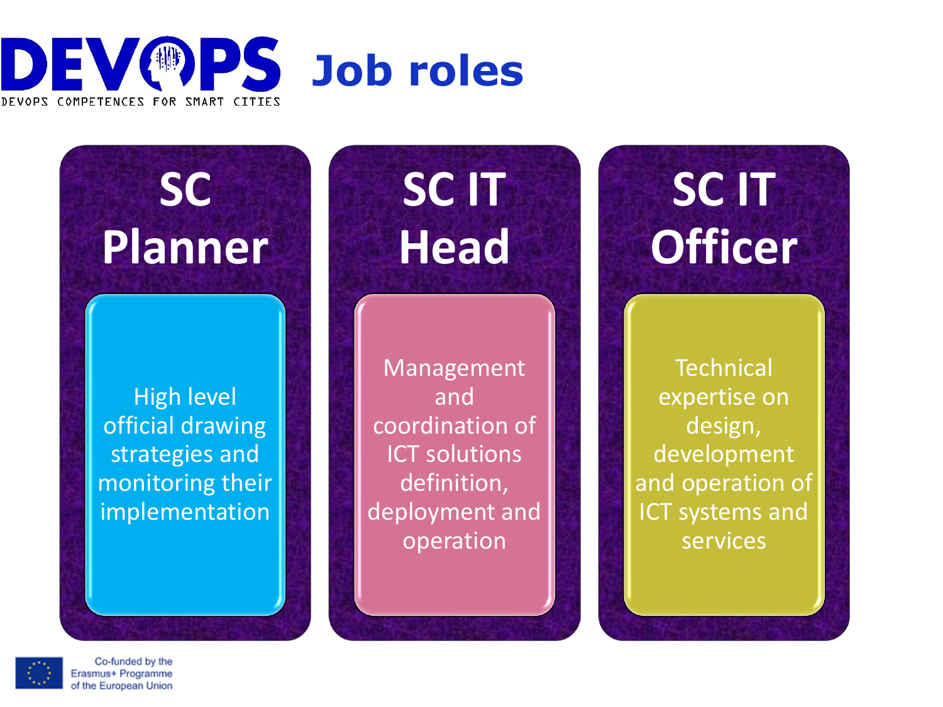



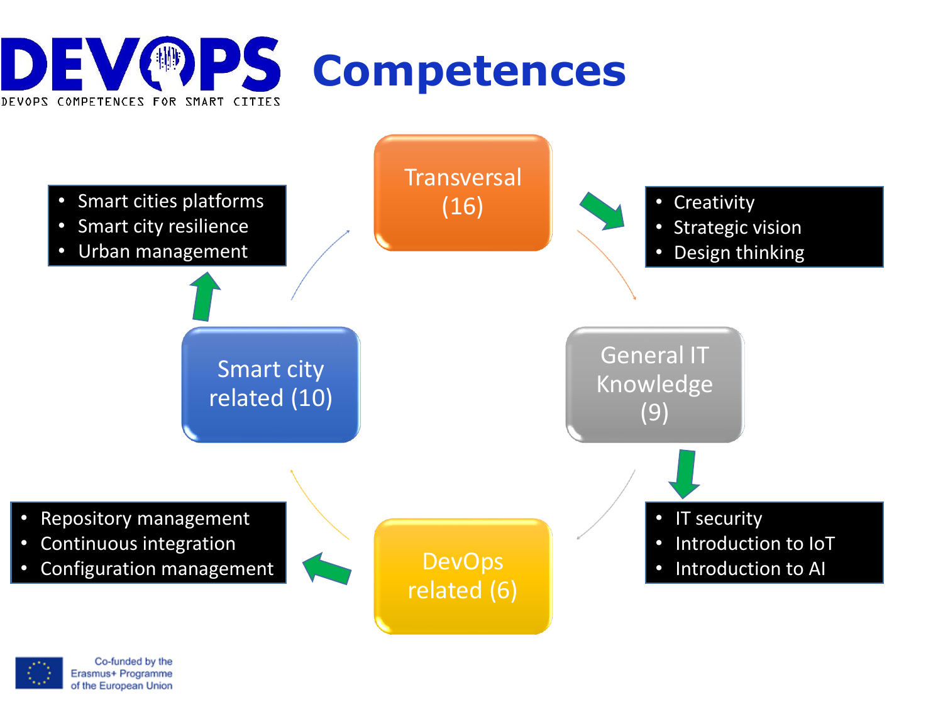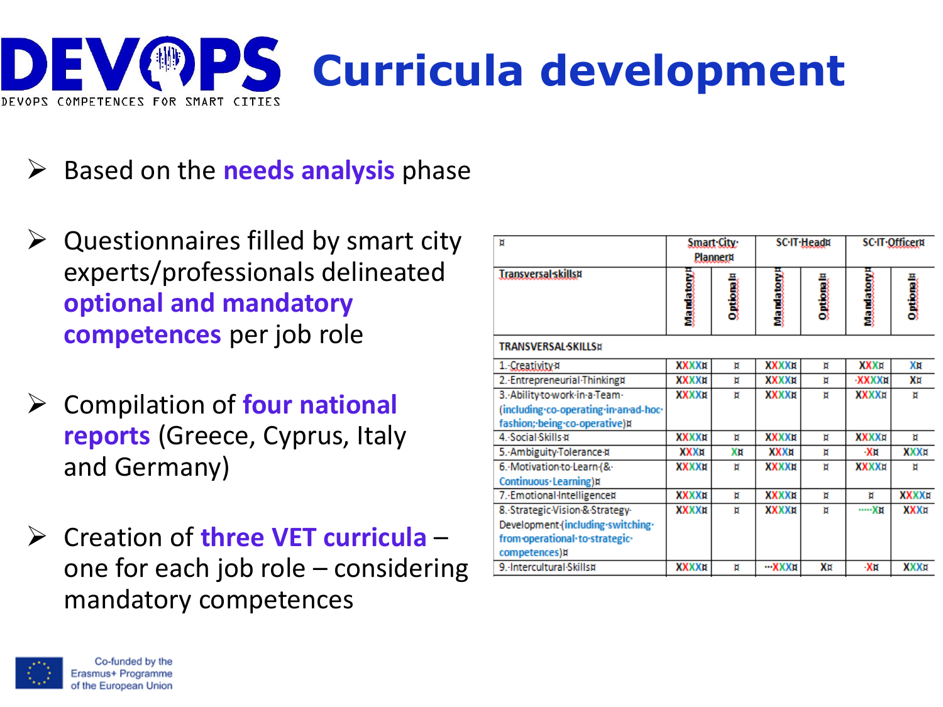

- ➢ Based on the **needs analysis** phase
- $\triangleright$  Questionnaires filled by smart city experts/professionals delineated **optional and mandatory competences** per job role
- ➢ Compilation of **four national reports** (Greece, Cyprus, Italy and Germany)
- ➢ Creation of **three VET curricula**  one for each job role – considering mandatory competences

| и                                     | Smart City:<br>Planner¤ |                 | <b>SC</b> -IT-Head¤ |                 | <b>SC.IT.Officerti</b> |                 |
|---------------------------------------|-------------------------|-----------------|---------------------|-----------------|------------------------|-----------------|
| <b>Transversal skills¤</b>            | wamatow                 | <b>Curiomal</b> | <b>Manatement</b>   | <b>Curiomal</b> | <b>Wamatawa</b>        | <b>Curiomal</b> |
| <b>TRANSVERSAL-SKILLS¤</b>            |                         |                 |                     |                 |                        |                 |
| 1. Creativity #                       | XXXXX                   | 'n              | XXXXX               | π               | <b>XXXII</b>           | Xи              |
| 2. Entrepreneurial Thinking¤          | XXXXX                   | Ħ               | XXXXX               | Ħ               | <b>XXXXXII</b>         | Xи              |
| 3. Ability to work in a Team-         | XXXXX                   | Ħ               | XXXXX               | π               | <b>XXXXX</b>           | π               |
| (including-co-operating-in-an-ad-hoc- |                         |                 |                     |                 |                        |                 |
| fashion; being co-operative)n         |                         |                 |                     |                 |                        |                 |
| 4. Social Skills #                    | XXXXX                   | 'n              | XXXXX               | Ħ               | <b>XXXXX</b>           | Ħ               |
| 5. Ambiguity Tolerance #              | XXXH                    | Xи              | XXXH                | 'n              | ∙Хи                    | XXXII           |
| 6. Motivation to Learn (&             | XXXXX                   | 'n              | XXXXX               | ۵               | <b>XXXXX</b>           | Ħ               |
| Continuous·Learning)¤                 |                         |                 |                     |                 |                        |                 |
| 7. Emotional Intelligencex            | ххххи                   | Ħ               | XXXXX               | п               | n                      | XXXXx           |
| 8. Strategic Vision & Strategy        | XXXX¤                   | n               | XXXXX               | 'n              | Хн                     | XXXX            |
| Development (including switching -    |                         |                 |                     |                 |                        |                 |
| from operational to strategic.        |                         |                 |                     |                 |                        |                 |
| competences)¤                         |                         |                 |                     |                 |                        |                 |
| 9.-Intercultural-Skills¤              | XXXX¤                   | Ħ               | <b>--XXXXII</b>     | Х¤              | ۰X¤                    | XXXII           |

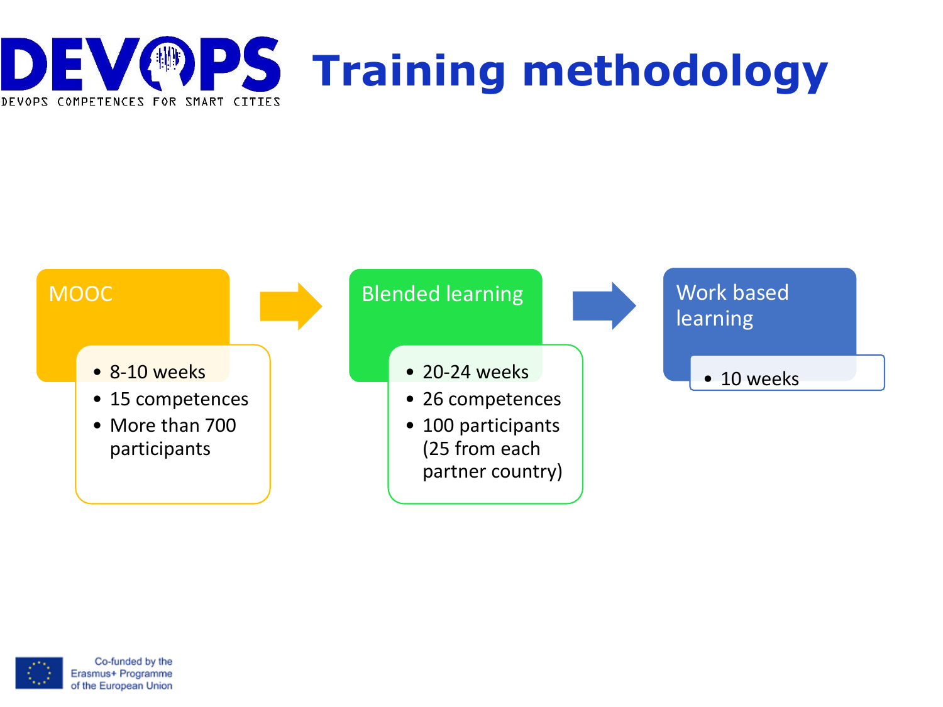



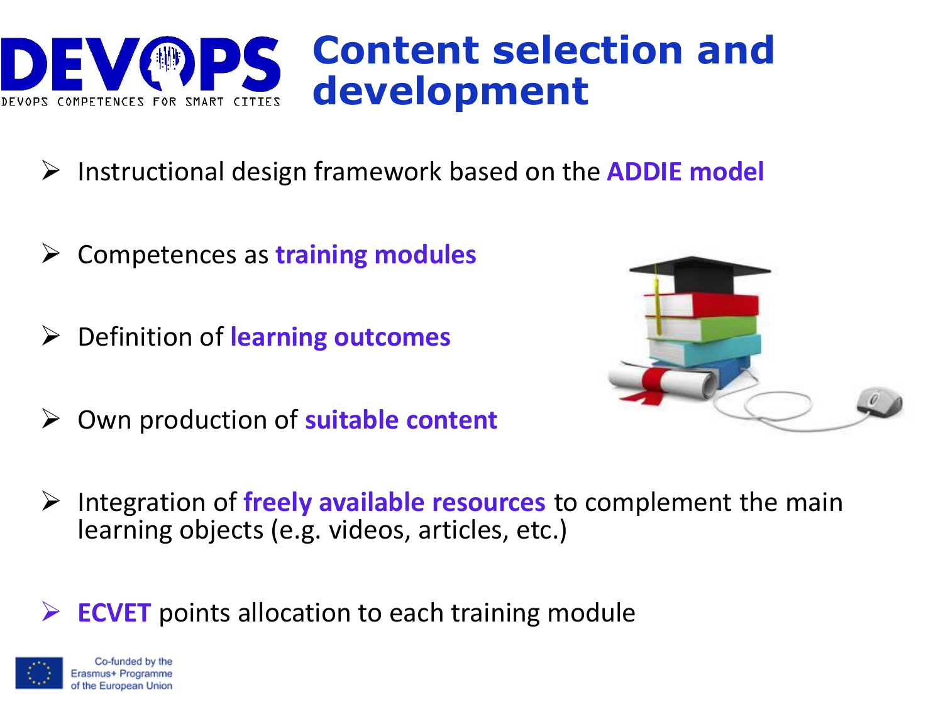

- ➢ Instructional design framework based on the **ADDIE model**
- ➢ Competences as **training modules**
- ➢ Definition of **learning outcomes**
- ➢ Own production of **suitable content**



➢ Integration of **freely available resources** to complement the main learning objects (e.g. videos, articles, etc.)

**ECVET** points allocation to each training module

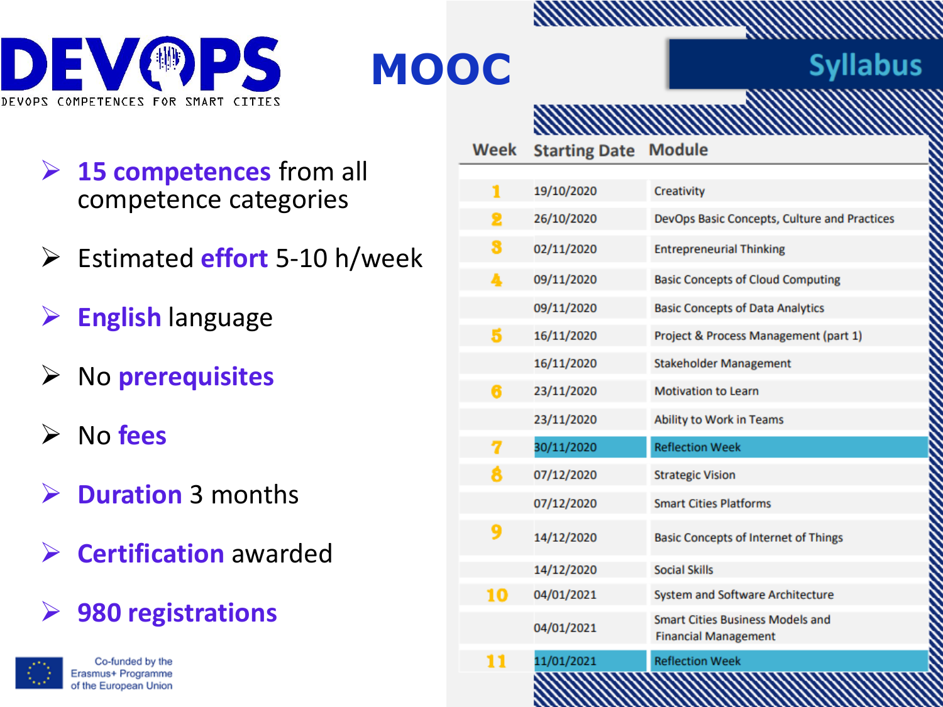

### **MOOC**

#### **Syllabus**

- ➢ **15 competences** from all competence categories
- ➢ Estimated **effort** 5-10 h/week
- ➢ **English** language
- ➢ No **prerequisites**
- ➢ No **fees**
- ➢ **Duration** 3 months
- ➢ **Certification** awarded
- ➢ **980 registrations**



| Week | <b>Starting Date Module</b> |                                                                        |  |  |
|------|-----------------------------|------------------------------------------------------------------------|--|--|
|      |                             |                                                                        |  |  |
| 1    | 19/10/2020                  | Creativity                                                             |  |  |
| 2    | 26/10/2020                  | DevOps Basic Concepts, Culture and Practices                           |  |  |
| 8    | 02/11/2020                  | <b>Entrepreneurial Thinking</b>                                        |  |  |
| 4    | 09/11/2020                  | <b>Basic Concepts of Cloud Computing</b>                               |  |  |
|      | 09/11/2020                  | <b>Basic Concepts of Data Analytics</b>                                |  |  |
| 5    | 16/11/2020                  | Project & Process Management (part 1)                                  |  |  |
|      | 16/11/2020                  | <b>Stakeholder Management</b>                                          |  |  |
| 6    | 23/11/2020                  | <b>Motivation to Learn</b>                                             |  |  |
|      | 23/11/2020                  | Ability to Work in Teams                                               |  |  |
| 7    | 30/11/2020                  | <b>Reflection Week</b>                                                 |  |  |
| 8    | 07/12/2020                  | <b>Strategic Vision</b>                                                |  |  |
|      | 07/12/2020                  | <b>Smart Cities Platforms</b>                                          |  |  |
| 9    | 14/12/2020                  | <b>Basic Concepts of Internet of Things</b>                            |  |  |
|      | 14/12/2020                  | <b>Social Skills</b>                                                   |  |  |
| 10   | 04/01/2021                  | System and Software Architecture                                       |  |  |
|      | 04/01/2021                  | <b>Smart Cities Business Models and</b><br><b>Financial Management</b> |  |  |
| 11   | 11/01/2021                  | <b>Reflection Week</b>                                                 |  |  |
|      |                             |                                                                        |  |  |